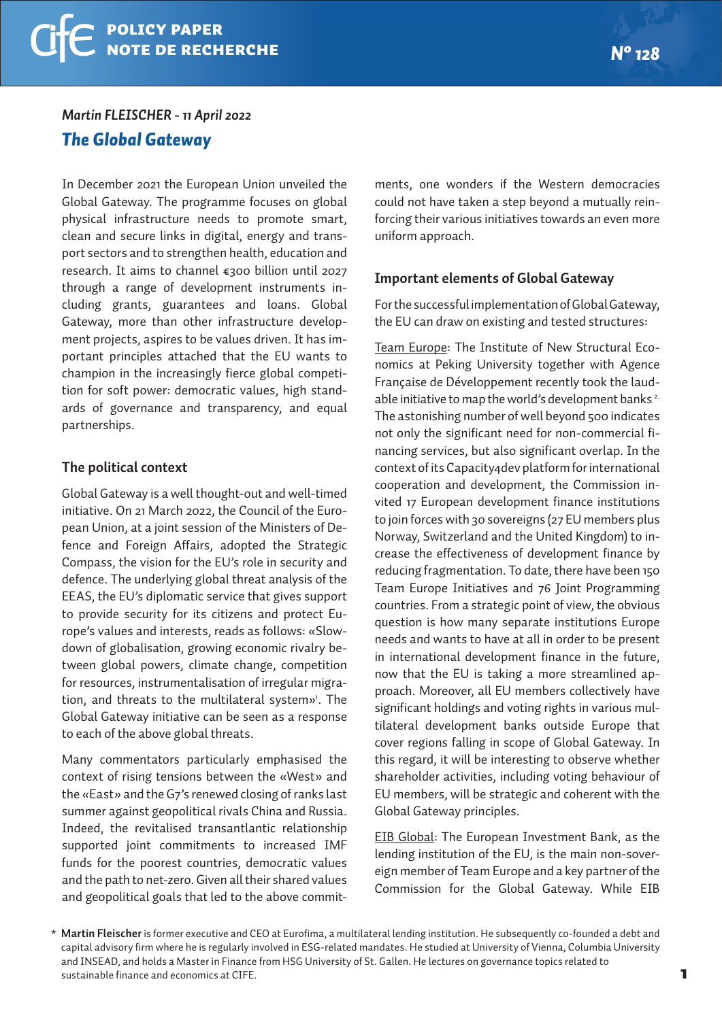#### *Martin FLEISCHER - 11 April 2022*

# *The Global Gateway*

In December 2021 the European Union unveiled the Global Gateway. The programme focuses on global physical infrastructure needs to promote smart, clean and secure links in digital, energy and transport sectors and to strengthen health, education and research. It aims to channel €300 billion until 2027 through a range of development instruments including grants, guarantees and loans. Global Gateway, more than other infrastructure development projects, aspires to be values driven. It has important principles attached that the EU wants to champion in the increasingly fierce global competition for soft power: democratic values, high standards of governance and transparency, and equal partnerships.

### **The political context**

Global Gateway is a well thought-out and well-timed initiative. On 21 March 2022, the Council of the European Union, at a joint session of the Ministers of Defence and Foreign Affairs, adopted the Strategic Compass, the vision for the EU's role in security and defence. The underlying global threat analysis of the EEAS, the EU's diplomatic service that gives support to provide security for its citizens and protect Europe's values and interests, reads as follows: «Slowdown of globalisation, growing economic rivalry between global powers, climate change, competition for resources, instrumentalisation of irregular migration, and threats to the multilateral system»<sup>1</sup>. The Global Gateway initiative can be seen as a response to each of the above global threats.

Many commentators particularly emphasised the context of rising tensions between the «West» and the «East» and the G7's renewed closing of ranks last summer against geopolitical rivals China and Russia. Indeed, the revitalised transantlantic relationship supported joint commitments to increased IMF funds for the poorest countries, democratic values and the path to net-zero. Given all their shared values and geopolitical goals that led to the above commit-

ments, one wonders if the Western democracies could not have taken a step beyond a mutually reinforcing their various initiatives towards an even more uniform approach.

#### **Important elements of Global Gateway**

For the successful implementation of Global Gateway, the EU can draw on existing and tested structures:

Team Europe: The Institute of New Structural Economics at Peking University together with Agence Française de Développement recently took the laudable initiative to map the world's development banks<sup>2.</sup> The astonishing number of well beyond 500 indicates not only the significant need for non-commercial financing services, but also significant overlap. In the context of its Capacity4dev platform for international cooperation and development, the Commission invited 17 European development finance institutions to join forces with 30 sovereigns (27 EU members plus Norway, Switzerland and the United Kingdom) to increase the effectiveness of development finance by reducing fragmentation. To date, there have been 150 Team Europe Initiatives and 76 Joint Programming countries. From a strategic point of view, the obvious question is how many separate institutions Europe needs and wants to have at all in order to be present in international development finance in the future, now that the EU is taking a more streamlined approach. Moreover, all EU members collectively have significant holdings and voting rights in various multilateral development banks outside Europe that cover regions falling in scope of Global Gateway. In this regard, it will be interesting to observe whether shareholder activities, including voting behaviour of EU members, will be strategic and coherent with the Global Gateway principles.

EIB Global: The European Investment Bank, as the lending institution of the EU, is the main non-sovereign member of Team Europe and a key partner of the Commission for the Global Gateway. While EIB

*<sup>\*</sup>* **Martin Fleischer** is former executive and CEO at Eurofima, a multilateral lending institution. He subsequently co-founded a debt and capital advisory firm where he is regularly involved in ESG-related mandates. He studied at University of Vienna, Columbia University and INSEAD, and holds a Master in Finance from HSG University of St. Gallen. He lectures on governance topics related to sustainable finance and economics at CIFE.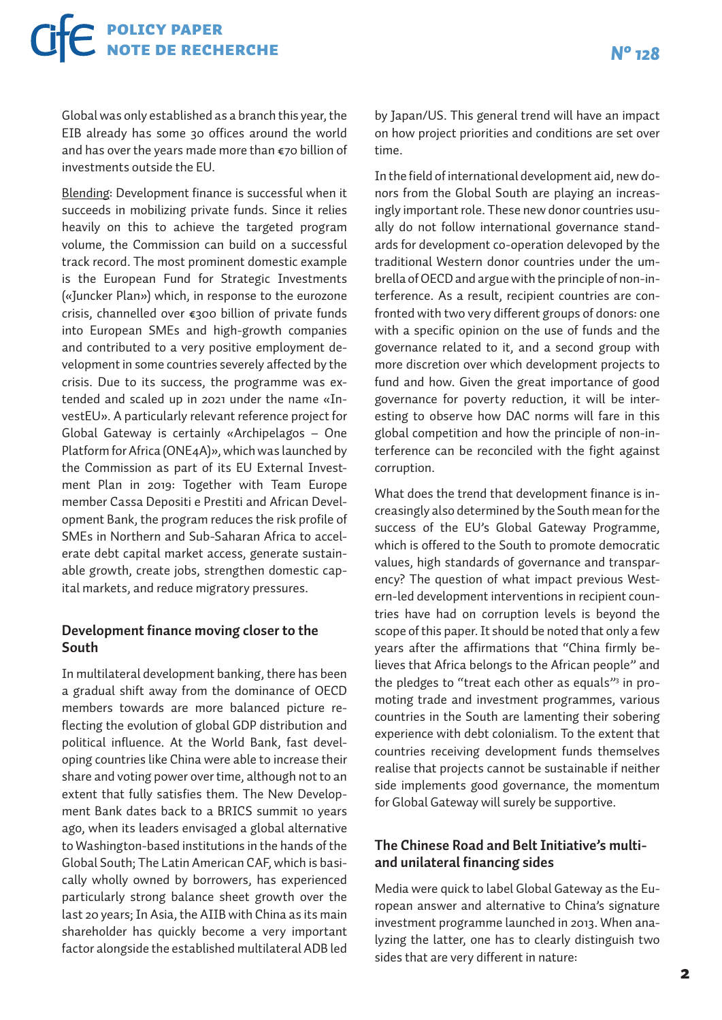# policy paper note de recherche *N° 128*

Global was only established as a branch this year, the EIB already has some 30 offices around the world and has over the years made more than €70 billion of investments outside the EU.

Blending: Development finance is successful when it succeeds in mobilizing private funds. Since it relies heavily on this to achieve the targeted program volume, the Commission can build on a successful track record. The most prominent domestic example is the European Fund for Strategic Investments («Juncker Plan») which, in response to the eurozone crisis, channelled over €300 billion of private funds into European SMEs and high-growth companies and contributed to a very positive employment development in some countries severely affected by the crisis. Due to its success, the programme was extended and scaled up in 2021 under the name «InvestEU». A particularly relevant reference project for Global Gateway is certainly «Archipelagos – One Platform for Africa (ONE4A)», which was launched by the Commission as part of its EU External Investment Plan in 2019: Together with Team Europe member Cassa Depositi e Prestiti and African Development Bank, the program reduces the risk profile of SMEs in Northern and Sub-Saharan Africa to accelerate debt capital market access, generate sustainable growth, create jobs, strengthen domestic capital markets, and reduce migratory pressures.

### **Development finance moving closer to the South**

In multilateral development banking, there has been a gradual shift away from the dominance of OECD members towards are more balanced picture reflecting the evolution of global GDP distribution and political influence. At the World Bank, fast developing countries like China were able to increase their share and voting power over time, although not to an extent that fully satisfies them. The New Development Bank dates back to a BRICS summit 10 years ago, when its leaders envisaged a global alternative to Washington-based institutions in the hands of the Global South; The Latin American CAF, which is basically wholly owned by borrowers, has experienced particularly strong balance sheet growth over the last 20 years; In Asia, the AIIB with China as its main shareholder has quickly become a very important factor alongside the established multilateral ADB led by Japan/US. This general trend will have an impact on how project priorities and conditions are set over time.

In the field of international development aid, new donors from the Global South are playing an increasingly important role. These new donor countries usually do not follow international governance standards for development co-operation delevoped by the traditional Western donor countries under the umbrella of OECD and argue with the principle of non-interference. As a result, recipient countries are confronted with two very different groups of donors: one with a specific opinion on the use of funds and the governance related to it, and a second group with more discretion over which development projects to fund and how. Given the great importance of good governance for poverty reduction, it will be interesting to observe how DAC norms will fare in this global competition and how the principle of non-interference can be reconciled with the fight against corruption.

What does the trend that development finance is increasingly also determined by the South mean for the success of the EU's Global Gateway Programme, which is offered to the South to promote democratic values, high standards of governance and transparency? The question of what impact previous Western-led development interventions in recipient countries have had on corruption levels is beyond the scope of this paper. It should be noted that only a few years after the affirmations that "China firmly believes that Africa belongs to the African people" and the pledges to "treat each other as equals"<sup>3</sup> in promoting trade and investment programmes, various countries in the South are lamenting their sobering experience with debt colonialism. To the extent that countries receiving development funds themselves realise that projects cannot be sustainable if neither side implements good governance, the momentum for Global Gateway will surely be supportive.

# **The Chinese Road and Belt Initiative's multiand unilateral financing sides**

Media were quick to label Global Gateway as the European answer and alternative to China's signature investment programme launched in 2013. When analyzing the latter, one has to clearly distinguish two sides that are very different in nature: